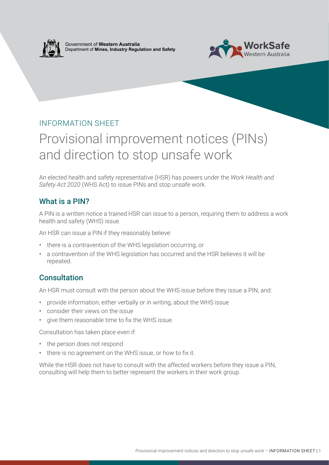

Government of **Western Australia** Department of **Mines, Industry Regulation and Safety**



## INFORMATION SHEET

# Provisional improvement notices (PINs) and direction to stop unsafe work

An elected health and safety representative (HSR) has powers under the *Work Health and Safety Act 2020* (WHS Act) to issue PINs and stop unsafe work.

#### What is a PIN?

A PIN is a written notice a trained HSR can issue to a person, requiring them to address a work health and safety (WHS) issue.

An HSR can issue a PIN if they reasonably believe:

- there is a contravention of the WHS legislation occurring, or
- a contravention of the WHS legislation has occurred and the HSR believes it will be repeated.

## **Consultation**

An HSR must consult with the person about the WHS issue before they issue a PIN, and:

- provide information, either verbally or in writing, about the WHS issue
- consider their views on the issue
- give them reasonable time to fix the WHS issue.

Consultation has taken place even if:

- the person does not respond
- there is no agreement on the WHS issue, or how to fix it.

While the HSR does not have to consult with the affected workers before they issue a PIN, consulting will help them to better represent the workers in their work group.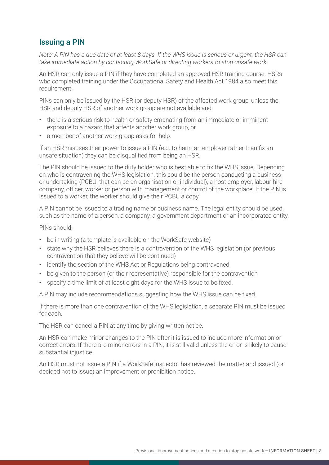## Issuing a PIN

*Note: A PIN has a due date of at least 8 days. If the WHS issue is serious or urgent, the HSR can take immediate action by contacting WorkSafe or directing workers to stop unsafe work.* 

An HSR can only issue a PIN if they have completed an approved HSR training course. HSRs who completed training under the Occupational Safety and Health Act 1984 also meet this requirement.

PINs can only be issued by the HSR (or deputy HSR) of the affected work group, unless the HSR and deputy HSR of another work group are not available and:

- there is a serious risk to health or safety emanating from an immediate or imminent exposure to a hazard that affects another work group, or
- a member of another work group asks for help.

If an HSR misuses their power to issue a PIN (e.g. to harm an employer rather than fix an unsafe situation) they can be disqualified from being an HSR.

The PIN should be issued to the duty holder who is best able to fix the WHS issue. Depending on who is contravening the WHS legislation, this could be the person conducting a business or undertaking (PCBU, that can be an organisation or individual), a host employer, labour hire company, officer, worker or person with management or control of the workplace. If the PIN is issued to a worker, the worker should give their PCBU a copy.

A PIN cannot be issued to a trading name or business name. The legal entity should be used, such as the name of a person, a company, a government department or an incorporated entity.

#### PINs should:

- be in writing (a template is available on the WorkSafe website)
- state why the HSR believes there is a contravention of the WHS legislation (or previous contravention that they believe will be continued)
- identify the section of the WHS Act or Regulations being contravened
- be given to the person (or their representative) responsible for the contravention
- specify a time limit of at least eight days for the WHS issue to be fixed.

A PIN may include recommendations suggesting how the WHS issue can be fixed.

If there is more than one contravention of the WHS legislation, a separate PIN must be issued for each.

The HSR can cancel a PIN at any time by giving written notice.

An HSR can make minor changes to the PIN after it is issued to include more information or correct errors. If there are minor errors in a PIN, it is still valid unless the error is likely to cause substantial injustice.

An HSR must not issue a PIN if a WorkSafe inspector has reviewed the matter and issued (or decided not to issue) an improvement or prohibition notice.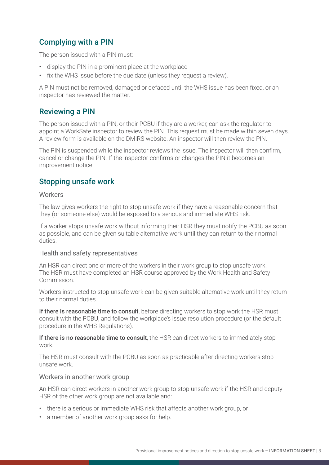# Complying with a PIN

The person issued with a PIN must:

- display the PIN in a prominent place at the workplace
- fix the WHS issue before the due date (unless they request a review).

A PIN must not be removed, damaged or defaced until the WHS issue has been fixed, or an inspector has reviewed the matter.

## Reviewing a PIN

The person issued with a PIN, or their PCBU if they are a worker, can ask the regulator to appoint a WorkSafe inspector to review the PIN. This request must be made within seven days. A review form is available on the DMIRS website. An inspector will then review the PIN.

The PIN is suspended while the inspector reviews the issue. The inspector will then confirm, cancel or change the PIN. If the inspector confirms or changes the PIN it becomes an improvement notice.

## Stopping unsafe work

#### **Workers**

The law gives workers the right to stop unsafe work if they have a reasonable concern that they (or someone else) would be exposed to a serious and immediate WHS risk.

If a worker stops unsafe work without informing their HSR they must notify the PCBU as soon as possible, and can be given suitable alternative work until they can return to their normal duties.

#### Health and safety representatives

An HSR can direct one or more of the workers in their work group to stop unsafe work. The HSR must have completed an HSR course approved by the Work Health and Safety Commission.

Workers instructed to stop unsafe work can be given suitable alternative work until they return to their normal duties.

If there is reasonable time to consult, before directing workers to stop work the HSR must consult with the PCBU, and follow the workplace's issue resolution procedure (or the default procedure in the WHS Regulations).

If there is no reasonable time to consult, the HSR can direct workers to immediately stop work.

The HSR must consult with the PCBU as soon as practicable after directing workers stop unsafe work.

#### Workers in another work group

An HSR can direct workers in another work group to stop unsafe work if the HSR and deputy HSR of the other work group are not available and:

- there is a serious or immediate WHS risk that affects another work group, or
- a member of another work group asks for help.